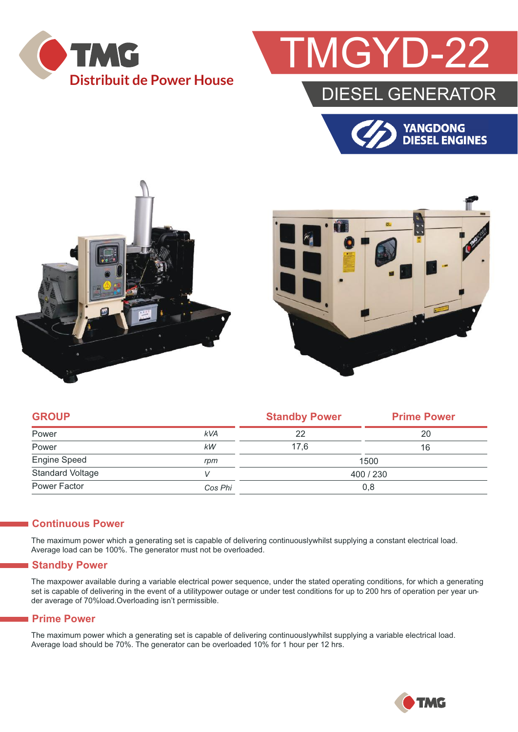

## **GYD-22**

### DIESEL GENERATOR







| <b>GROUP</b>            |            | <b>Standby Power</b> | <b>Prime Power</b> |  |
|-------------------------|------------|----------------------|--------------------|--|
| Power                   | <b>kVA</b> | 22                   | 20                 |  |
| Power                   | kW         | 17.6                 | 16                 |  |
| <b>Engine Speed</b>     | rpm        | 1500                 |                    |  |
| <b>Standard Voltage</b> |            | 400/230              |                    |  |
| Power Factor            | Cos Phi    | 0,8                  |                    |  |

#### **Continuous Power**

The maximum power which a generating set is capable of delivering continuouslywhilst supplying a constant electrical load. Average load can be 100%. The generator must not be overloaded.

#### **Standby Power**

The maxpower available during a variable electrical power sequence, under the stated operating conditions, for which a generating set is capable of delivering in the event of a utilitypower outage or under test conditions for up to 200 hrs of operation per year under average of 70%load.Overloading isn't permissible.

#### **Prime Power**

The maximum power which a generating set is capable of delivering continuouslywhilst supplying a variable electrical load. Average load should be 70%. The generator can be overloaded 10% for 1 hour per 12 hrs.

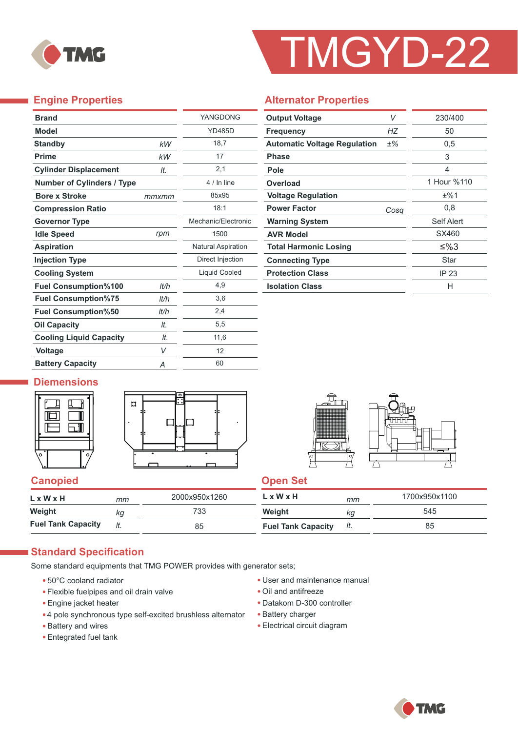

# TMGYD-22

#### **Engine Properties**

÷,

| <b>Brand</b>                      |       | YANGDONG                  |
|-----------------------------------|-------|---------------------------|
| <b>Model</b>                      |       | <b>YD485D</b>             |
| <b>Standby</b>                    | kW    | 18,7                      |
| <b>Prime</b>                      | kW    | 17                        |
| <b>Cylinder Displacement</b>      | It.   | 2,1                       |
| <b>Number of Cylinders / Type</b> |       | 4 / In line               |
| <b>Bore x Stroke</b>              | mmxmm | 85x95                     |
| <b>Compression Ratio</b>          |       | 18:1                      |
| <b>Governor Type</b>              |       | Mechanic/Flectronic       |
| <b>Idle Speed</b>                 | rpm   | 1500                      |
| <b>Aspiration</b>                 |       | <b>Natural Aspiration</b> |
| <b>Injection Type</b>             |       | Direct Injection          |
| <b>Cooling System</b>             |       | <b>Liquid Cooled</b>      |
| <b>Fuel Consumption%100</b>       | It/h  | 4,9                       |
| <b>Fuel Consumption%75</b>        | lt/h  | 3,6                       |
| <b>Fuel Consumption%50</b>        | lt/h  | 2,4                       |
| <b>Oil Capacity</b>               | It.   | 5,5                       |
| <b>Cooling Liquid Capacity</b>    | It.   | 11,6                      |
| <b>Voltage</b>                    | V     | 12                        |
| <b>Battery Capacity</b>           | Α     | 60                        |

#### **Alternator Properties**

| <b>Output Voltage</b>               | V    | 230/400     |  |
|-------------------------------------|------|-------------|--|
| <b>Frequency</b>                    | НZ   | 50          |  |
| <b>Automatic Voltage Regulation</b> | ±%   | 0,5         |  |
| <b>Phase</b>                        |      | 3           |  |
| Pole                                |      | 4           |  |
| Overload                            |      | 1 Hour %110 |  |
| <b>Voltage Regulation</b>           |      | ±%1         |  |
| <b>Power Factor</b>                 | Cosa | 0,8         |  |
| <b>Warning System</b>               |      | Self Alert  |  |
| <b>AVR Model</b>                    |      | SX460       |  |
| <b>Total Harmonic Losing</b>        |      | ≤%3         |  |
| <b>Connecting Type</b>              |      | Star        |  |
| <b>Protection Class</b>             |      | IP 23       |  |
| <b>Isolation Class</b>              |      | н           |  |

#### **Diemensions**







#### **Canopied Canopied Canopied Canopied Canopied** Canopied Canopied Canopied Canopied Canopied Canopied Canopied Canopied Canopied Canopied Canopied Canopied Canopied Canopied Canopied Canopied Canopied Canopied Canopied Cano

| $L \times W \times H$     | mm  | 2000x950x1260 | $L \times W \times H$     | mm  | 1700x950x1100 |
|---------------------------|-----|---------------|---------------------------|-----|---------------|
| Weight                    | ΚG  | 733           | Weight                    | Кg  | 545           |
| <b>Fuel Tank Capacity</b> | It. | 85            | <b>Fuel Tank Capacity</b> | It. | 85            |

#### **Standard Specification**

Some standard equipments that TMG POWER provides with generator sets;

- 50°C cooland radiator
- Flexible fuelpipes and oil drain valve
- Engine jacket heater
- 4 pole synchronous type self-excited brushless alternator
- Battery and wires
- Entegrated fuel tank
- User and maintenance manual
- Oil and antifreeze
- Datakom D-300 controller
- Battery charger
- Electrical circuit diagram